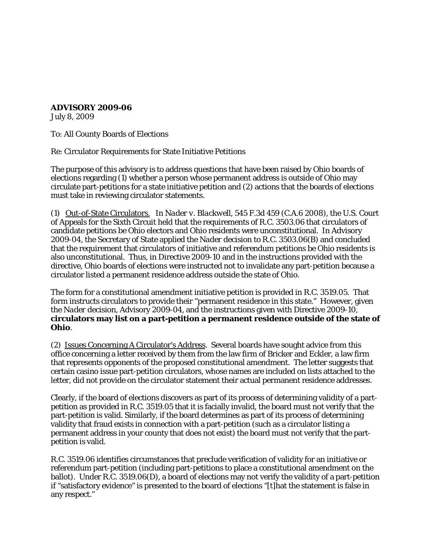**ADVISORY 2009-06**

July 8, 2009

To: All County Boards of Elections

Re: Circulator Requirements for State Initiative Petitions

The purpose of this advisory is to address questions that have been raised by Ohio boards of elections regarding (1) whether a person whose permanent address is outside of Ohio may circulate part-petitions for a state initiative petition and (2) actions that the boards of elections must take in reviewing circulator statements.

(1) Out-of-State Circulators. In *Nader v. Blackwell*, 545 F.3d 459 (C.A.6 2008), the U.S. Court of Appeals for the Sixth Circuit held that the requirements of R.C. 3503.06 that circulators of candidate petitions be Ohio electors and Ohio residents were unconstitutional. In Advisory 2009-04, the Secretary of State applied the *Nader* decision to R.C. 3503.06(B) and concluded that the requirement that circulators of initiative and referendum petitions be Ohio residents is also unconstitutional. Thus, in Directive 2009-10 and in the instructions provided with the directive, Ohio boards of elections were instructed not to invalidate any part-petition because a circulator listed a permanent residence address outside the state of Ohio.

The form for a constitutional amendment initiative petition is provided in R.C. 3519.05. That form instructs circulators to provide their "permanent residence in this state." However, given the *Nader* decision, Advisory 2009-04, and the instructions given with Directive 2009-10, **circulators may list on a part-petition a permanent residence outside of the state of Ohio**.

(2) Issues Concerning A Circulator's Address. Several boards have sought advice from this office concerning a letter received by them from the law firm of Bricker and Eckler, a law firm that represents opponents of the proposed constitutional amendment. The letter suggests that certain casino issue part-petition circulators, whose names are included on lists attached to the letter, did not provide on the circulator statement their actual permanent residence addresses.

Clearly, if the board of elections discovers as part of its process of determining validity of a partpetition as provided in R.C. 3519.05 that it is facially invalid, the board must not verify that the part-petition is valid. Similarly, if the board determines as part of its process of determining validity that fraud exists in connection with a part-petition (such as a circulator listing a permanent address in your county that does not exist) the board must not verify that the partpetition is valid.

R.C. 3519.06 identifies circumstances that preclude verification of validity for an initiative or referendum part-petition (including part-petitions to place a constitutional amendment on the ballot). Under R.C. 3519.06(D), a board of elections may not verify the validity of a part-petition if "satisfactory evidence" is presented to the board of elections "[t]hat the statement is false in any respect."